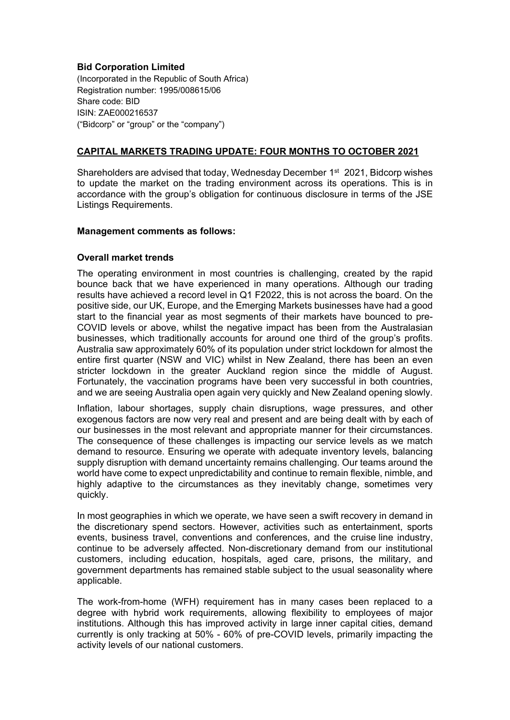## **Bid Corporation Limited**

(Incorporated in the Republic of South Africa) Registration number: 1995/008615/06 Share code: BID ISIN: ZAE000216537 ("Bidcorp" or "group" or the "company")

# **CAPITAL MARKETS TRADING UPDATE: FOUR MONTHS TO OCTOBER 2021**

Shareholders are advised that today, Wednesday December 1st 2021, Bidcorp wishes to update the market on the trading environment across its operations. This is in accordance with the group's obligation for continuous disclosure in terms of the JSE Listings Requirements.

### **Management comments as follows:**

### **Overall market trends**

The operating environment in most countries is challenging, created by the rapid bounce back that we have experienced in many operations. Although our trading results have achieved a record level in Q1 F2022, this is not across the board. On the positive side, our UK, Europe, and the Emerging Markets businesses have had a good start to the financial year as most segments of their markets have bounced to pre-COVID levels or above, whilst the negative impact has been from the Australasian businesses, which traditionally accounts for around one third of the group's profits. Australia saw approximately 60% of its population under strict lockdown for almost the entire first quarter (NSW and VIC) whilst in New Zealand, there has been an even stricter lockdown in the greater Auckland region since the middle of August. Fortunately, the vaccination programs have been very successful in both countries, and we are seeing Australia open again very quickly and New Zealand opening slowly.

Inflation, labour shortages, supply chain disruptions, wage pressures, and other exogenous factors are now very real and present and are being dealt with by each of our businesses in the most relevant and appropriate manner for their circumstances. The consequence of these challenges is impacting our service levels as we match demand to resource. Ensuring we operate with adequate inventory levels, balancing supply disruption with demand uncertainty remains challenging. Our teams around the world have come to expect unpredictability and continue to remain flexible, nimble, and highly adaptive to the circumstances as they inevitably change, sometimes very quickly.

In most geographies in which we operate, we have seen a swift recovery in demand in the discretionary spend sectors. However, activities such as entertainment, sports events, business travel, conventions and conferences, and the cruise line industry, continue to be adversely affected. Non-discretionary demand from our institutional customers, including education, hospitals, aged care, prisons, the military, and government departments has remained stable subject to the usual seasonality where applicable.

The work-from-home (WFH) requirement has in many cases been replaced to a degree with hybrid work requirements, allowing flexibility to employees of major institutions. Although this has improved activity in large inner capital cities, demand currently is only tracking at 50% - 60% of pre-COVID levels, primarily impacting the activity levels of our national customers.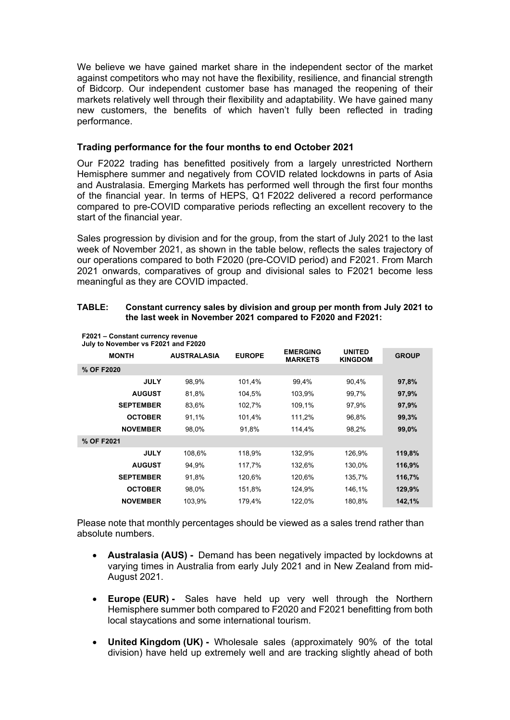We believe we have gained market share in the independent sector of the market against competitors who may not have the flexibility, resilience, and financial strength of Bidcorp. Our independent customer base has managed the reopening of their markets relatively well through their flexibility and adaptability. We have gained many new customers, the benefits of which haven't fully been reflected in trading performance.

### **Trading performance for the four months to end October 2021**

**F2021 – Constant currency revenue** 

Our F2022 trading has benefitted positively from a largely unrestricted Northern Hemisphere summer and negatively from COVID related lockdowns in parts of Asia and Australasia. Emerging Markets has performed well through the first four months of the financial year. In terms of HEPS, Q1 F2022 delivered a record performance compared to pre-COVID comparative periods reflecting an excellent recovery to the start of the financial year.

Sales progression by division and for the group, from the start of July 2021 to the last week of November 2021, as shown in the table below, reflects the sales trajectory of our operations compared to both F2020 (pre-COVID period) and F2021. From March 2021 onwards, comparatives of group and divisional sales to F2021 become less meaningful as they are COVID impacted.

| July to November vs F2021 and F2020 |                    |               |                                   |                                 |              |  |  |
|-------------------------------------|--------------------|---------------|-----------------------------------|---------------------------------|--------------|--|--|
| <b>MONTH</b>                        | <b>AUSTRALASIA</b> | <b>EUROPE</b> | <b>EMERGING</b><br><b>MARKETS</b> | <b>UNITED</b><br><b>KINGDOM</b> | <b>GROUP</b> |  |  |
| % OF F2020                          |                    |               |                                   |                                 |              |  |  |
| <b>JULY</b>                         | 98,9%              | 101,4%        | 99,4%                             | 90,4%                           | 97,8%        |  |  |
| <b>AUGUST</b>                       | 81,8%              | 104,5%        | 103,9%                            | 99,7%                           | 97,9%        |  |  |
| <b>SEPTEMBER</b>                    | 83,6%              | 102,7%        | 109,1%                            | 97,9%                           | 97,9%        |  |  |
| <b>OCTOBER</b>                      | 91,1%              | 101,4%        | 111,2%                            | 96,8%                           | 99,3%        |  |  |
| <b>NOVEMBER</b>                     | 98,0%              | 91,8%         | 114,4%                            | 98,2%                           | 99,0%        |  |  |
| % OF F2021                          |                    |               |                                   |                                 |              |  |  |
| <b>JULY</b>                         | 108,6%             | 118,9%        | 132,9%                            | 126,9%                          | 119,8%       |  |  |
| <b>AUGUST</b>                       | 94,9%              | 117,7%        | 132,6%                            | 130,0%                          | 116,9%       |  |  |
| <b>SEPTEMBER</b>                    | 91,8%              | 120,6%        | 120,6%                            | 135,7%                          | 116,7%       |  |  |
| <b>OCTOBER</b>                      | 98.0%              | 151,8%        | 124,9%                            | 146,1%                          | 129,9%       |  |  |
| <b>NOVEMBER</b>                     | 103.9%             | 179.4%        | 122,0%                            | 180,8%                          | 142,1%       |  |  |

#### **TABLE: Constant currency sales by division and group per month from July 2021 to the last week in November 2021 compared to F2020 and F2021:**

Please note that monthly percentages should be viewed as a sales trend rather than absolute numbers.

- **Australasia (AUS)** Demand has been negatively impacted by lockdowns at varying times in Australia from early July 2021 and in New Zealand from mid-August 2021.
- **Europe (EUR)** Sales have held up very well through the Northern Hemisphere summer both compared to F2020 and F2021 benefitting from both local staycations and some international tourism.
- **United Kingdom (UK)** Wholesale sales (approximately 90% of the total division) have held up extremely well and are tracking slightly ahead of both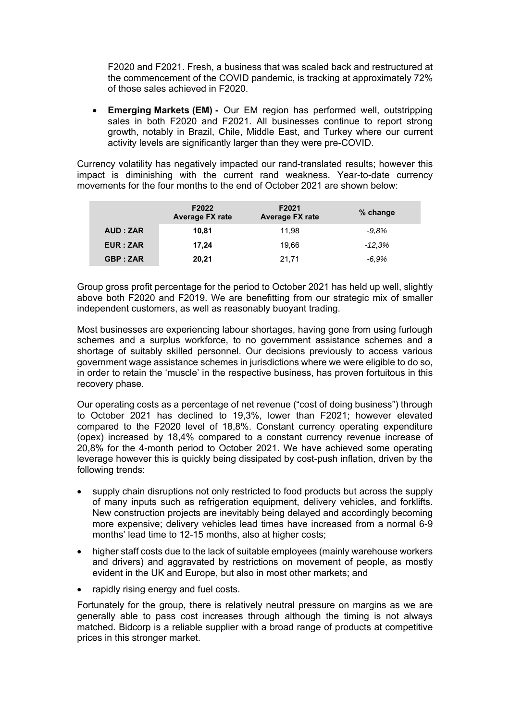F2020 and F2021. Fresh, a business that was scaled back and restructured at the commencement of the COVID pandemic, is tracking at approximately 72% of those sales achieved in F2020.

 **Emerging Markets (EM) -** Our EM region has performed well, outstripping sales in both F2020 and F2021. All businesses continue to report strong growth, notably in Brazil, Chile, Middle East, and Turkey where our current activity levels are significantly larger than they were pre-COVID.

Currency volatility has negatively impacted our rand-translated results; however this impact is diminishing with the current rand weakness. Year-to-date currency movements for the four months to the end of October 2021 are shown below:

|           | F2022<br><b>Average FX rate</b> | F2021<br><b>Average FX rate</b> | $%$ change |
|-----------|---------------------------------|---------------------------------|------------|
| AUD: ZAR  | 10,81                           | 11,98                           | $-9.8%$    |
| EUR : ZAR | 17.24                           | 19.66                           | -12.3%     |
| GBP: ZAR  | 20,21                           | 21,71                           | $-6.9%$    |

Group gross profit percentage for the period to October 2021 has held up well, slightly above both F2020 and F2019. We are benefitting from our strategic mix of smaller independent customers, as well as reasonably buoyant trading.

Most businesses are experiencing labour shortages, having gone from using furlough schemes and a surplus workforce, to no government assistance schemes and a shortage of suitably skilled personnel. Our decisions previously to access various government wage assistance schemes in jurisdictions where we were eligible to do so, in order to retain the 'muscle' in the respective business, has proven fortuitous in this recovery phase.

Our operating costs as a percentage of net revenue ("cost of doing business") through to October 2021 has declined to 19,3%, lower than F2021; however elevated compared to the F2020 level of 18,8%. Constant currency operating expenditure (opex) increased by 18,4% compared to a constant currency revenue increase of 20,8% for the 4-month period to October 2021. We have achieved some operating leverage however this is quickly being dissipated by cost-push inflation, driven by the following trends:

- supply chain disruptions not only restricted to food products but across the supply of many inputs such as refrigeration equipment, delivery vehicles, and forklifts. New construction projects are inevitably being delayed and accordingly becoming more expensive; delivery vehicles lead times have increased from a normal 6-9 months' lead time to 12-15 months, also at higher costs;
- higher staff costs due to the lack of suitable employees (mainly warehouse workers and drivers) and aggravated by restrictions on movement of people, as mostly evident in the UK and Europe, but also in most other markets; and
- rapidly rising energy and fuel costs.

Fortunately for the group, there is relatively neutral pressure on margins as we are generally able to pass cost increases through although the timing is not always matched. Bidcorp is a reliable supplier with a broad range of products at competitive prices in this stronger market.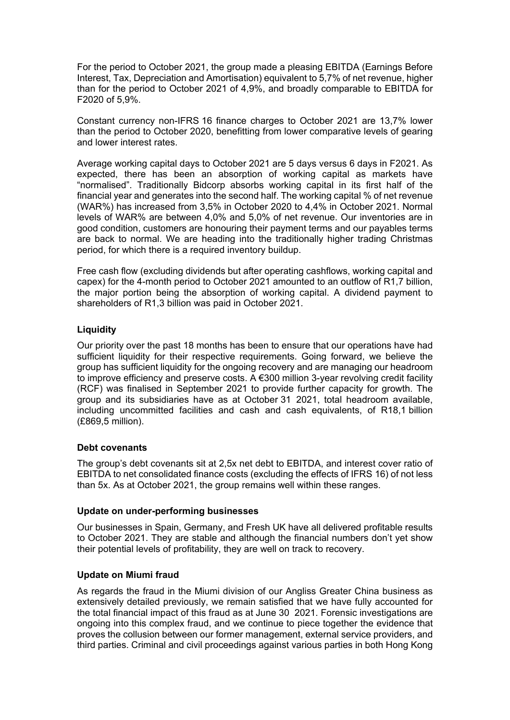For the period to October 2021, the group made a pleasing EBITDA (Earnings Before Interest, Tax, Depreciation and Amortisation) equivalent to 5,7% of net revenue, higher than for the period to October 2021 of 4,9%, and broadly comparable to EBITDA for F2020 of 5,9%.

Constant currency non-IFRS 16 finance charges to October 2021 are 13,7% lower than the period to October 2020, benefitting from lower comparative levels of gearing and lower interest rates.

Average working capital days to October 2021 are 5 days versus 6 days in F2021. As expected, there has been an absorption of working capital as markets have "normalised". Traditionally Bidcorp absorbs working capital in its first half of the financial year and generates into the second half. The working capital % of net revenue (WAR%) has increased from 3,5% in October 2020 to 4,4% in October 2021. Normal levels of WAR% are between 4,0% and 5,0% of net revenue. Our inventories are in good condition, customers are honouring their payment terms and our payables terms are back to normal. We are heading into the traditionally higher trading Christmas period, for which there is a required inventory buildup.

Free cash flow (excluding dividends but after operating cashflows, working capital and capex) for the 4-month period to October 2021 amounted to an outflow of R1,7 billion, the major portion being the absorption of working capital. A dividend payment to shareholders of R1,3 billion was paid in October 2021.

## **Liquidity**

Our priority over the past 18 months has been to ensure that our operations have had sufficient liquidity for their respective requirements. Going forward, we believe the group has sufficient liquidity for the ongoing recovery and are managing our headroom to improve efficiency and preserve costs. A €300 million 3-year revolving credit facility (RCF) was finalised in September 2021 to provide further capacity for growth. The group and its subsidiaries have as at October 31 2021, total headroom available, including uncommitted facilities and cash and cash equivalents, of R18,1 billion (£869,5 million).

## **Debt covenants**

The group's debt covenants sit at 2,5x net debt to EBITDA, and interest cover ratio of EBITDA to net consolidated finance costs (excluding the effects of IFRS 16) of not less than 5x. As at October 2021, the group remains well within these ranges.

#### **Update on under-performing businesses**

Our businesses in Spain, Germany, and Fresh UK have all delivered profitable results to October 2021. They are stable and although the financial numbers don't yet show their potential levels of profitability, they are well on track to recovery.

## **Update on Miumi fraud**

As regards the fraud in the Miumi division of our Angliss Greater China business as extensively detailed previously, we remain satisfied that we have fully accounted for the total financial impact of this fraud as at June 30 2021. Forensic investigations are ongoing into this complex fraud, and we continue to piece together the evidence that proves the collusion between our former management, external service providers, and third parties. Criminal and civil proceedings against various parties in both Hong Kong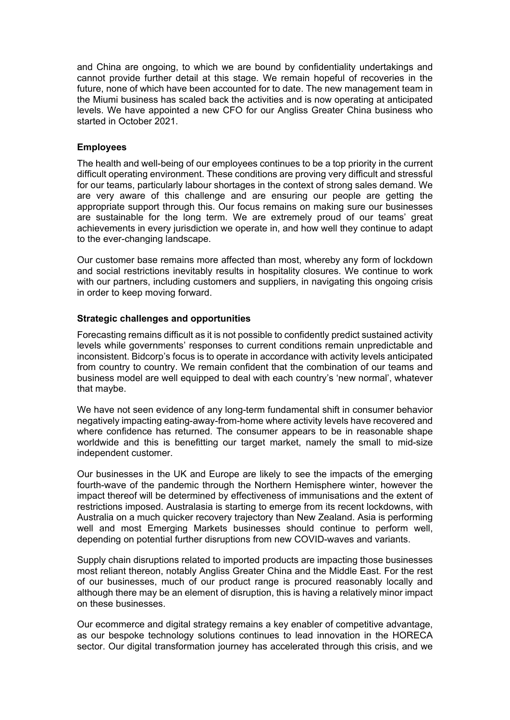and China are ongoing, to which we are bound by confidentiality undertakings and cannot provide further detail at this stage. We remain hopeful of recoveries in the future, none of which have been accounted for to date. The new management team in the Miumi business has scaled back the activities and is now operating at anticipated levels. We have appointed a new CFO for our Angliss Greater China business who started in October 2021.

## **Employees**

The health and well-being of our employees continues to be a top priority in the current difficult operating environment. These conditions are proving very difficult and stressful for our teams, particularly labour shortages in the context of strong sales demand. We are very aware of this challenge and are ensuring our people are getting the appropriate support through this. Our focus remains on making sure our businesses are sustainable for the long term. We are extremely proud of our teams' great achievements in every jurisdiction we operate in, and how well they continue to adapt to the ever-changing landscape.

Our customer base remains more affected than most, whereby any form of lockdown and social restrictions inevitably results in hospitality closures. We continue to work with our partners, including customers and suppliers, in navigating this ongoing crisis in order to keep moving forward.

### **Strategic challenges and opportunities**

Forecasting remains difficult as it is not possible to confidently predict sustained activity levels while governments' responses to current conditions remain unpredictable and inconsistent. Bidcorp's focus is to operate in accordance with activity levels anticipated from country to country. We remain confident that the combination of our teams and business model are well equipped to deal with each country's 'new normal', whatever that maybe.

We have not seen evidence of any long-term fundamental shift in consumer behavior negatively impacting eating-away-from-home where activity levels have recovered and where confidence has returned. The consumer appears to be in reasonable shape worldwide and this is benefitting our target market, namely the small to mid-size independent customer.

Our businesses in the UK and Europe are likely to see the impacts of the emerging fourth-wave of the pandemic through the Northern Hemisphere winter, however the impact thereof will be determined by effectiveness of immunisations and the extent of restrictions imposed. Australasia is starting to emerge from its recent lockdowns, with Australia on a much quicker recovery trajectory than New Zealand. Asia is performing well and most Emerging Markets businesses should continue to perform well, depending on potential further disruptions from new COVID-waves and variants.

Supply chain disruptions related to imported products are impacting those businesses most reliant thereon, notably Angliss Greater China and the Middle East. For the rest of our businesses, much of our product range is procured reasonably locally and although there may be an element of disruption, this is having a relatively minor impact on these businesses.

Our ecommerce and digital strategy remains a key enabler of competitive advantage, as our bespoke technology solutions continues to lead innovation in the HORECA sector. Our digital transformation journey has accelerated through this crisis, and we